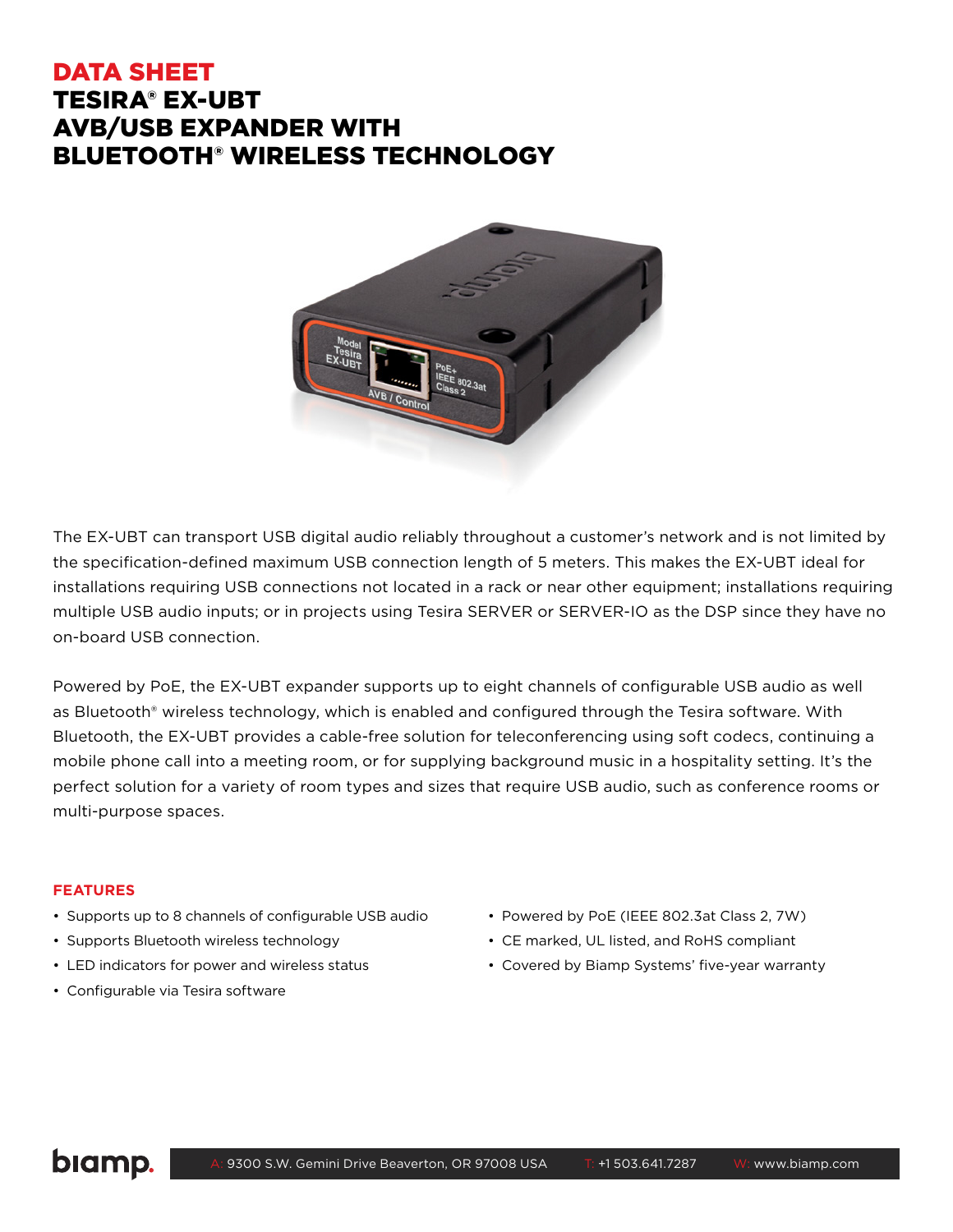# DATA SHEET TESIRA® EX-UBT AVB/USB EXPANDER WITH BLUETOOTH® WIRELESS TECHNOLOGY



The EX-UBT can transport USB digital audio reliably throughout a customer's network and is not limited by the specification-defined maximum USB connection length of 5 meters. This makes the EX-UBT ideal for installations requiring USB connections not located in a rack or near other equipment; installations requiring multiple USB audio inputs; or in projects using Tesira SERVER or SERVER-IO as the DSP since they have no on-board USB connection.

Powered by PoE, the EX-UBT expander supports up to eight channels of configurable USB audio as well as Bluetooth® wireless technology, which is enabled and configured through the Tesira software. With Bluetooth, the EX-UBT provides a cable-free solution for teleconferencing using soft codecs, continuing a mobile phone call into a meeting room, or for supplying background music in a hospitality setting. It's the perfect solution for a variety of room types and sizes that require USB audio, such as conference rooms or multi-purpose spaces.

#### **FEATURES**

- Supports up to 8 channels of configurable USB audio
- Supports Bluetooth wireless technology
- LED indicators for power and wireless status
- Configurable via Tesira software
- Powered by PoE (IEEE 802.3at Class 2, 7W)
- CE marked, UL listed, and RoHS compliant
- Covered by Biamp Systems' five-year warranty

# biamp.